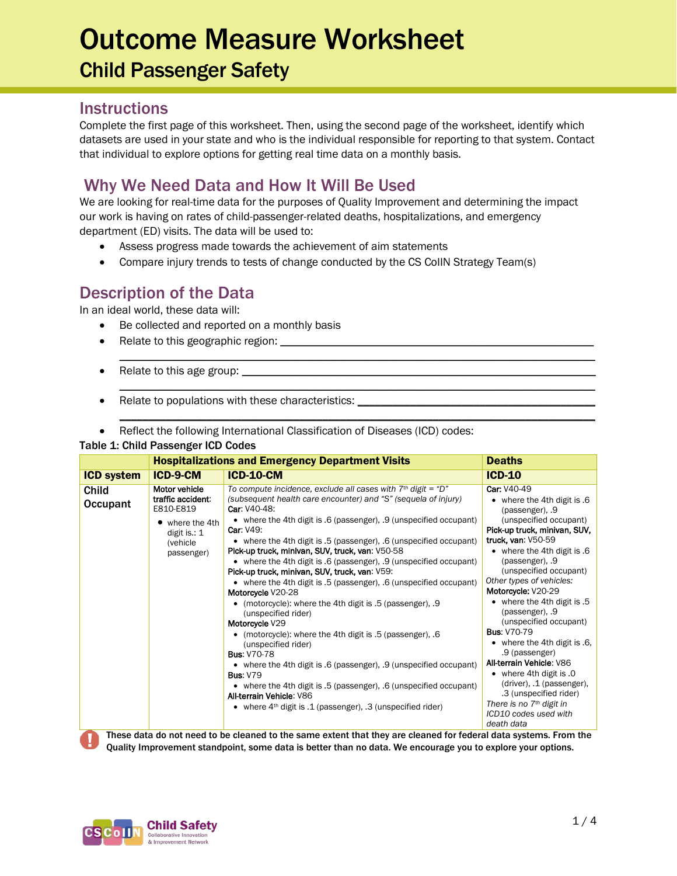### Outcome Measure Worksheet Child Passenger Safety

#### **Instructions**

Complete the first page of this worksheet. Then, using the second page of the worksheet, identify which datasets are used in your state and who is the individual responsible for reporting to that system. Contact that individual to explore options for getting real time data on a monthly basis.

#### Why We Need Data and How It Will Be Used

We are looking for real-time data for the purposes of Quality Improvement and determining the impact our work is having on rates of child-passenger-related deaths, hospitalizations, and emergency department (ED) visits. The data will be used to:

 $\mathcal{L}_\mathcal{L} = \{ \mathcal{L}_\mathcal{L} = \{ \mathcal{L}_\mathcal{L} = \{ \mathcal{L}_\mathcal{L} = \{ \mathcal{L}_\mathcal{L} = \{ \mathcal{L}_\mathcal{L} = \{ \mathcal{L}_\mathcal{L} = \{ \mathcal{L}_\mathcal{L} = \{ \mathcal{L}_\mathcal{L} = \{ \mathcal{L}_\mathcal{L} = \{ \mathcal{L}_\mathcal{L} = \{ \mathcal{L}_\mathcal{L} = \{ \mathcal{L}_\mathcal{L} = \{ \mathcal{L}_\mathcal{L} = \{ \mathcal{L}_\mathcal{$ 

\_\_\_\_\_\_\_\_\_\_\_\_\_\_\_\_\_\_\_\_\_\_\_\_\_\_\_\_\_\_\_\_\_\_\_\_\_\_\_\_\_\_\_\_\_\_\_\_\_\_\_\_\_\_\_\_\_\_\_\_\_\_\_\_\_\_\_\_\_\_\_\_\_\_\_\_\_\_\_\_\_\_

\_\_\_\_\_\_\_\_\_\_\_\_\_\_\_\_\_\_\_\_\_\_\_\_\_\_\_\_\_\_\_\_\_\_\_\_\_\_\_\_\_\_\_\_\_\_\_\_\_\_\_\_\_\_\_\_\_\_\_\_\_\_\_\_\_\_\_\_\_\_\_\_\_\_\_\_\_\_\_\_\_\_

- Assess progress made towards the achievement of aim statements
- Compare injury trends to tests of change conducted by the CS CollN Strategy Team(s)

#### Description of the Data

In an ideal world, these data will:

- Be collected and reported on a monthly basis
- Relate to this geographic region: \_\_\_\_\_\_\_\_
- Relate to this age group: \_\_\_\_
- Relate to populations with these characteristics: \_\_\_\_\_\_\_\_\_\_\_\_\_\_\_\_\_\_\_\_\_\_\_\_\_\_\_\_
- Reflect the following International Classification of Diseases (ICD) codes:

#### Table 1: Child Passenger ICD Codes

|                                                                                                                  | <b>Hospitalizations and Emergency Department Visits</b><br><b>Deaths</b>                                    |                                                                                                                                                                                                                                                                                                                                                                                                                                                                                                                                                                                                                                                                                                                                                                                                                                                                                                                                                                                                                                                                      |                                                                                                                                                                                                                                                                                                                                                                                                                                                                                                                                                                                                                                   |  |  |
|------------------------------------------------------------------------------------------------------------------|-------------------------------------------------------------------------------------------------------------|----------------------------------------------------------------------------------------------------------------------------------------------------------------------------------------------------------------------------------------------------------------------------------------------------------------------------------------------------------------------------------------------------------------------------------------------------------------------------------------------------------------------------------------------------------------------------------------------------------------------------------------------------------------------------------------------------------------------------------------------------------------------------------------------------------------------------------------------------------------------------------------------------------------------------------------------------------------------------------------------------------------------------------------------------------------------|-----------------------------------------------------------------------------------------------------------------------------------------------------------------------------------------------------------------------------------------------------------------------------------------------------------------------------------------------------------------------------------------------------------------------------------------------------------------------------------------------------------------------------------------------------------------------------------------------------------------------------------|--|--|
| <b>ICD system</b>                                                                                                | <b>ICD-9-CM</b>                                                                                             | <b>ICD-10-CM</b>                                                                                                                                                                                                                                                                                                                                                                                                                                                                                                                                                                                                                                                                                                                                                                                                                                                                                                                                                                                                                                                     | $ICD-10$                                                                                                                                                                                                                                                                                                                                                                                                                                                                                                                                                                                                                          |  |  |
| Child<br>Occupant                                                                                                | Motor vehicle<br>traffic accident:<br>E810-E819<br>where the 4th<br>digit is.: 1<br>(vehicle)<br>passenger) | To compute incidence, exclude all cases with $7th$ digit = "D"<br>(subsequent health care encounter) and "S" (sequela of injury)<br><b>Car: V40-48:</b><br>• where the 4th digit is .6 (passenger), .9 (unspecified occupant)<br><b>Car: V49:</b><br>• where the 4th digit is .5 (passenger), .6 (unspecified occupant)<br>Pick-up truck, minivan, SUV, truck, van: V50-58<br>• where the 4th digit is .6 (passenger), .9 (unspecified occupant)<br>Pick-up truck, minivan, SUV, truck, van: V59:<br>• where the 4th digit is .5 (passenger), .6 (unspecified occupant)<br>Motorcycle V20-28<br>(motorcycle): where the 4th digit is .5 (passenger), .9<br>(unspecified rider)<br>Motorcycle V29<br>(motorcycle): where the 4th digit is .5 (passenger), .6<br>(unspecified rider)<br><b>Bus: V70-78</b><br>• where the 4th digit is .6 (passenger), .9 (unspecified occupant)<br><b>Bus: V79</b><br>• where the 4th digit is .5 (passenger), .6 (unspecified occupant)<br>All-terrain Vehicle: V86<br>• where $4th$ digit is .1 (passenger), .3 (unspecified rider) | Car: V40-49<br>• where the 4th digit is .6<br>(passenger), .9<br>(unspecified occupant)<br>Pick-up truck, minivan, SUV,<br>truck, van: V50-59<br>• where the 4th digit is .6<br>(passenger), .9<br>(unspecified occupant)<br>Other types of vehicles:<br>Motorcycle: V20-29<br>• where the 4th digit is .5<br>(passenger), .9<br>(unspecified occupant)<br><b>Bus: V70-79</b><br>• where the 4th digit is $.6$ .<br>.9 (passenger)<br>All-terrain Vehicle: V86<br>• where 4th digit is $.0$<br>(driver), .1 (passenger),<br>.3 (unspecified rider)<br>There is no 7 <sup>th</sup> digit in<br>ICD10 codes used with<br>death data |  |  |
| These data do not need to be cleaned to the same extent that they are cleaned for federal data systems. From the |                                                                                                             |                                                                                                                                                                                                                                                                                                                                                                                                                                                                                                                                                                                                                                                                                                                                                                                                                                                                                                                                                                                                                                                                      |                                                                                                                                                                                                                                                                                                                                                                                                                                                                                                                                                                                                                                   |  |  |

Quality Improvement standpoint, some data is better than no data. We encourage you to explore your options.

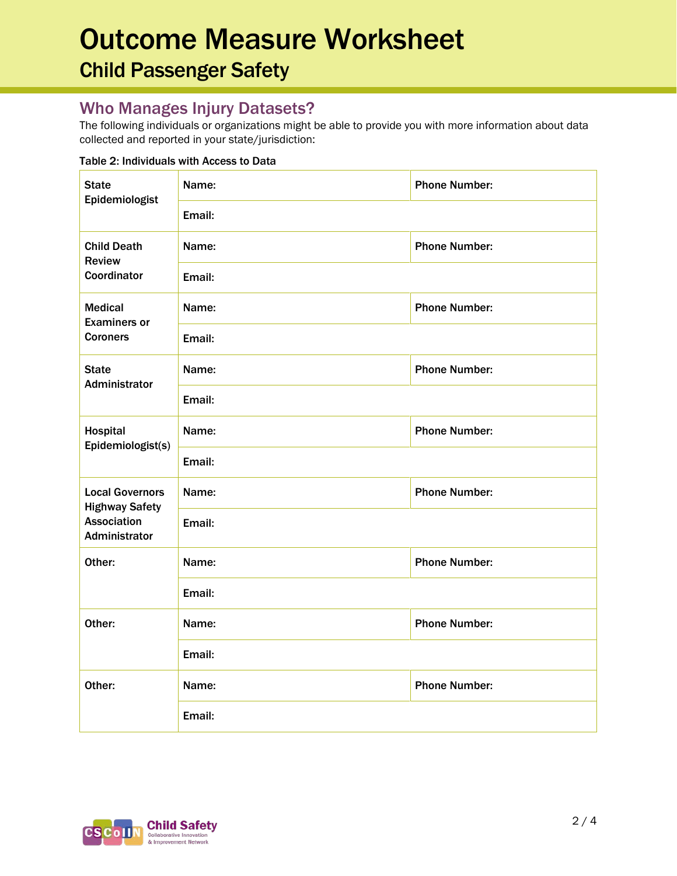## Outcome Measure Worksheet Child Passenger Safety

#### Who Manages Injury Datasets?

The following individuals or organizations might be able to provide you with more information about data collected and reported in your state/jurisdiction:

#### Table 2: Individuals with Access to Data

| <b>State</b><br>Epidemiologist                     | Name:  | <b>Phone Number:</b> |  |  |
|----------------------------------------------------|--------|----------------------|--|--|
|                                                    | Email: |                      |  |  |
| <b>Child Death</b><br><b>Review</b><br>Coordinator | Name:  | <b>Phone Number:</b> |  |  |
|                                                    | Email: |                      |  |  |
| <b>Medical</b><br><b>Examiners or</b>              | Name:  | <b>Phone Number:</b> |  |  |
| <b>Coroners</b>                                    | Email: |                      |  |  |
| <b>State</b><br>Administrator                      | Name:  | <b>Phone Number:</b> |  |  |
|                                                    | Email: |                      |  |  |
| Hospital<br>Epidemiologist(s)                      | Name:  | <b>Phone Number:</b> |  |  |
|                                                    | Email: |                      |  |  |
| <b>Local Governors</b><br><b>Highway Safety</b>    | Name:  | <b>Phone Number:</b> |  |  |
| <b>Association</b><br>Administrator                | Email: |                      |  |  |
| Other:                                             | Name:  | <b>Phone Number:</b> |  |  |
|                                                    | Email: |                      |  |  |
| Other:                                             | Name:  | <b>Phone Number:</b> |  |  |
|                                                    | Email: |                      |  |  |
| Other:                                             | Name:  | <b>Phone Number:</b> |  |  |
|                                                    | Email: |                      |  |  |

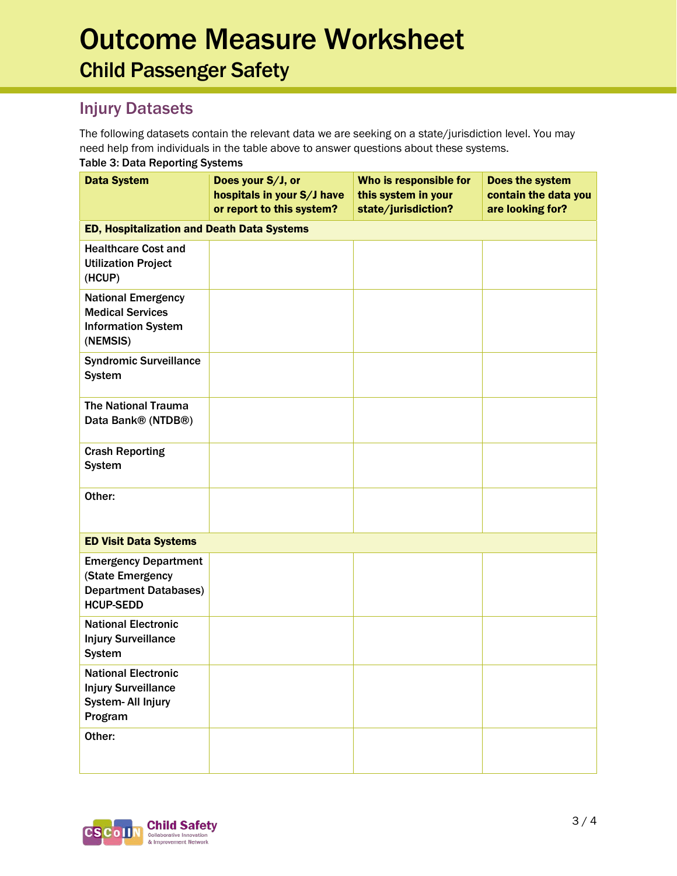## Outcome Measure Worksheet Child Passenger Safety

### Injury Datasets

The following datasets contain the relevant data we are seeking on a state/jurisdiction level. You may need help from individuals in the table above to answer questions about these systems. Table 3: Data Reporting Systems

| rabic J. Data noporting Jystoms                                                                     |                                                                              |                                                                      |                                                             |  |  |  |
|-----------------------------------------------------------------------------------------------------|------------------------------------------------------------------------------|----------------------------------------------------------------------|-------------------------------------------------------------|--|--|--|
| <b>Data System</b>                                                                                  | Does your S/J, or<br>hospitals in your S/J have<br>or report to this system? | Who is responsible for<br>this system in your<br>state/jurisdiction? | Does the system<br>contain the data you<br>are looking for? |  |  |  |
| <b>ED, Hospitalization and Death Data Systems</b>                                                   |                                                                              |                                                                      |                                                             |  |  |  |
| <b>Healthcare Cost and</b><br><b>Utilization Project</b><br>(HCUP)                                  |                                                                              |                                                                      |                                                             |  |  |  |
| <b>National Emergency</b><br><b>Medical Services</b><br><b>Information System</b><br>(NEMSIS)       |                                                                              |                                                                      |                                                             |  |  |  |
| <b>Syndromic Surveillance</b><br><b>System</b>                                                      |                                                                              |                                                                      |                                                             |  |  |  |
| The National Trauma<br>Data Bank® (NTDB®)                                                           |                                                                              |                                                                      |                                                             |  |  |  |
| <b>Crash Reporting</b><br><b>System</b>                                                             |                                                                              |                                                                      |                                                             |  |  |  |
| Other:                                                                                              |                                                                              |                                                                      |                                                             |  |  |  |
| <b>ED Visit Data Systems</b>                                                                        |                                                                              |                                                                      |                                                             |  |  |  |
| <b>Emergency Department</b><br>(State Emergency<br><b>Department Databases)</b><br><b>HCUP-SEDD</b> |                                                                              |                                                                      |                                                             |  |  |  |
| <b>National Electronic</b><br><b>Injury Surveillance</b><br><b>System</b>                           |                                                                              |                                                                      |                                                             |  |  |  |
| <b>National Electronic</b><br><b>Injury Surveillance</b><br>System- All Injury<br>Program           |                                                                              |                                                                      |                                                             |  |  |  |
| Other:                                                                                              |                                                                              |                                                                      |                                                             |  |  |  |